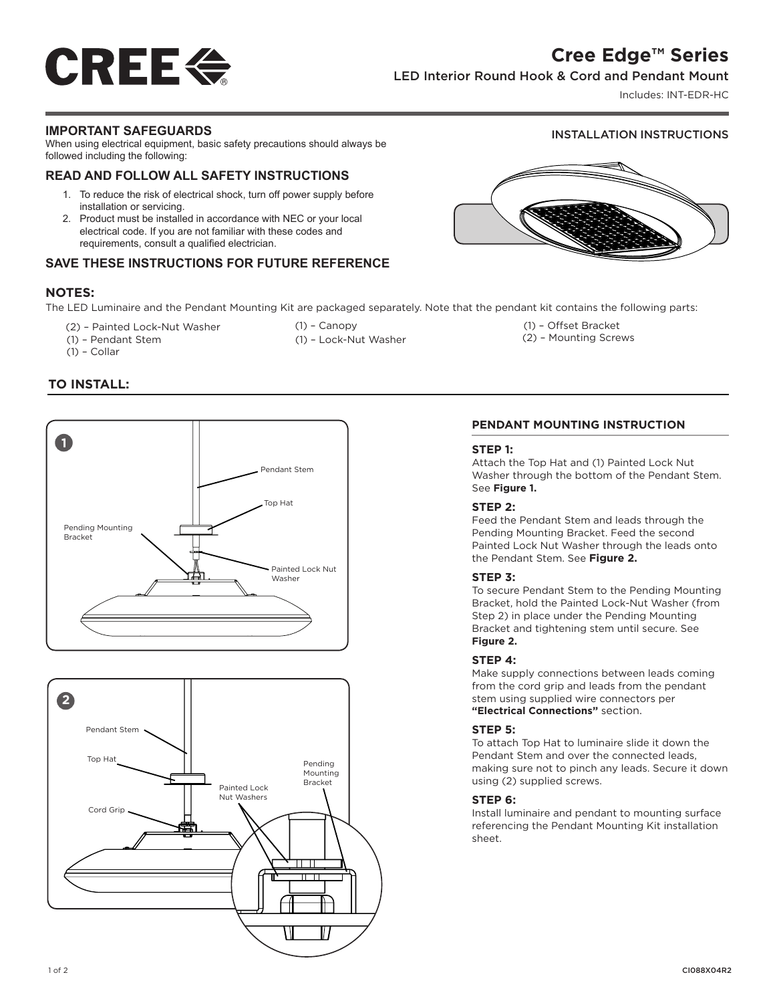## **Cree Edge™ Series**

INSTALLATION INSTRUCTIONS

# **CREE E**

### LED Interior Round Hook & Cord and Pendant Mount

Includes: INT-EDR-HC

#### **IMPORTANT SAFEGUARDS**

When using electrical equipment, basic safety precautions should always be followed including the following:

#### **READ AND FOLLOW ALL SAFETY INSTRUCTIONS**

- 1. To reduce the risk of electrical shock, turn off power supply before installation or servicing.
- 2. Product must be installed in accordance with NEC or your local electrical code. If you are not familiar with these codes and requirements, consult a qualified electrician.

#### **SAVE THESE INSTRUCTIONS FOR FUTURE REFERENCE**

#### **NOTES:**

The LED Luminaire and the Pendant Mounting Kit are packaged separately. Note that the pendant kit contains the following parts:

- (2) Painted Lock-Nut Washer
- (1) Pendant Stem
- (1) Collar
- (1) Canopy
- 
- 
- - (1) Lock-Nut Washer

(1) – Offset Bracket (2) – Mounting Screws

#### **TO INSTALL:**





#### **PENDANT MOUNTING INSTRUCTION**

#### **STEP 1:**

Attach the Top Hat and (1) Painted Lock Nut Washer through the bottom of the Pendant Stem. See **Figure 1.**

#### **STEP 2:**

Feed the Pendant Stem and leads through the Pending Mounting Bracket. Feed the second Painted Lock Nut Washer through the leads onto the Pendant Stem. See **Figure 2.**

#### **STEP 3:**

To secure Pendant Stem to the Pending Mounting Bracket, hold the Painted Lock-Nut Washer (from Step 2) in place under the Pending Mounting Bracket and tightening stem until secure. See **Figure 2.**

#### **STEP 4:**

Make supply connections between leads coming from the cord grip and leads from the pendant stem using supplied wire connectors per **"Electrical Connections"** section.

#### **STEP 5:**

To attach Top Hat to luminaire slide it down the Pendant Stem and over the connected leads, making sure not to pinch any leads. Secure it down using (2) supplied screws.

#### **STEP 6:**

Install luminaire and pendant to mounting surface referencing the Pendant Mounting Kit installation sheet.